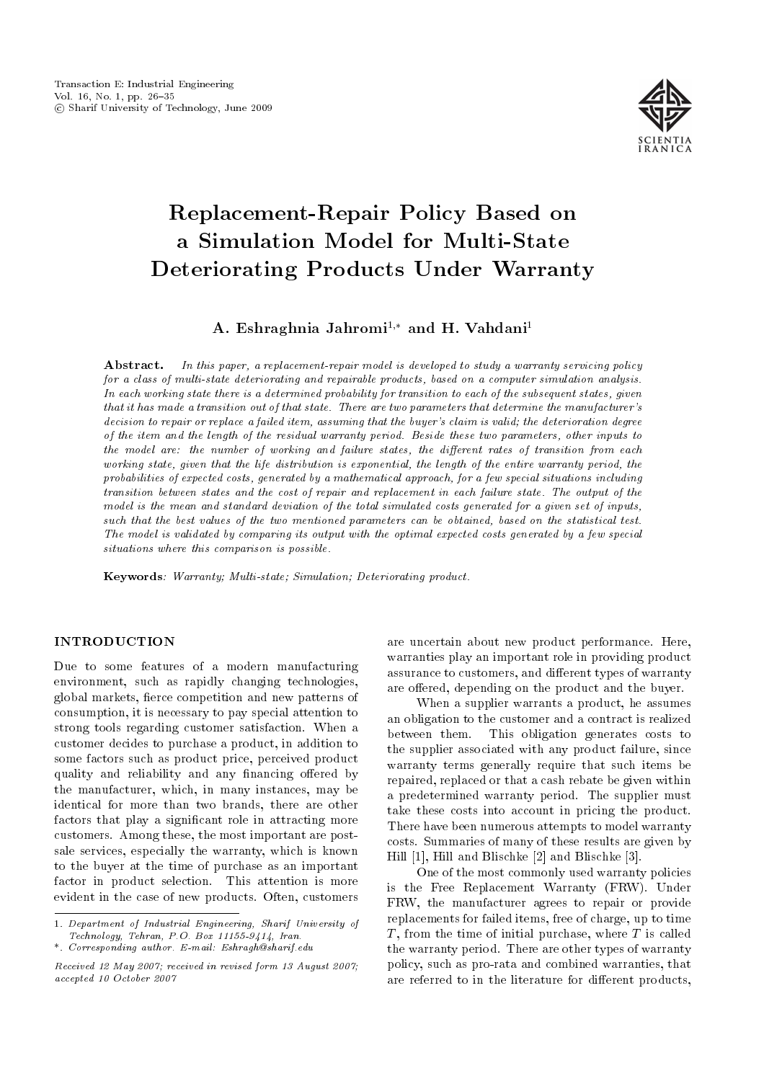

# Replacement-Repair Policy Based on a Simulation Model for Multi-State Deteriorating Products Under Warranty

A. Eshraghnia Jahromi<sup>1,\*</sup> and H. Vahdani<sup>1</sup>

Abstract. In this paper, a replacement-repair model is developed to study a warranty servicing policy for a class of multi-state deteriorating and repairable products, based on a computer simulation analysis. In each working state there is a determined probability for transition to each of the subsequent states, given that it has made a transition out of that state. There are two parameters that determine the manufacturer's decision to repair or replace a failed item, assuming that the buyer's claim is valid; the deterioration degree of the item and the length of the residual warranty period. Beside these two parameters, other inputs to the model are: the number of working and failure states, the different rates of transition from each working state, given that the life distribution is exponential, the length of the entire warranty period, the probabilities of expected costs, generated by a mathematical approach, for a few special situations including transition between states and the cost of repair and replacement in each failure state. The output of the model is the mean and standard deviation of the total simulated costs generated for a given set of inputs, such that the best values of the two mentioned parameters can be obtained, based on the statistical test. The model is validated by comparing its output with the optimal expected costs generated by a few special situations where this comparison is possible.

Keywords: Warranty; Multi-state; Simulation; Deteriorating product.

## **INTRODUCTION**

Due to some features of a modern manufacturing environment, such as rapidly changing technologies, global markets, fierce competition and new patterns of consumption, it is necessary to pay special attention to strong tools regarding customer satisfaction. When a customer decides to purchase a product, in addition to some factors such as product price, perceived product quality and reliability and any financing offered by the manufacturer, which, in many instances, may be identical for more than two brands, there are other factors that play a significant role in attracting more customers. Among these, the most important are postsale services, especially the warranty, which is known to the buyer at the time of purchase as an important factor in product selection. This attention is more evident in the case of new products. Often, customers

are uncertain about new product performance. Here, warranties play an important role in providing product assurance to customers, and different types of warranty are offered, depending on the product and the buyer.

When a supplier warrants a product, he assumes an obligation to the customer and a contract is realized between them. This obligation generates costs to the supplier associated with any product failure, since warranty terms generally require that such items be repaired, replaced or that a cash rebate be given within a predetermined warranty period. The supplier must take these costs into account in pricing the product. There have been numerous attempts to model warranty costs. Summaries of many of these results are given by Hill [1], Hill and Blischke [2] and Blischke [3].

One of the most commonly used warranty policies is the Free Replacement Warranty (FRW). Under FRW, the manufacturer agrees to repair or provide replacements for failed items, free of charge, up to time  $T$ , from the time of initial purchase, where  $T$  is called the warranty period. There are other types of warranty policy, such as pro-rata and combined warranties, that are referred to in the literature for different products,

<sup>1.</sup> Department of Industrial Engineering, Sharif University of Technology, Tehran, P.O. Box 11155-9414, Iran.

<sup>\*.</sup> Corresponding author. E-mail: Eshragh@sharif.edu

Received 12 May 2007; received in revised form 13 August 2007; accepted 10 October 2007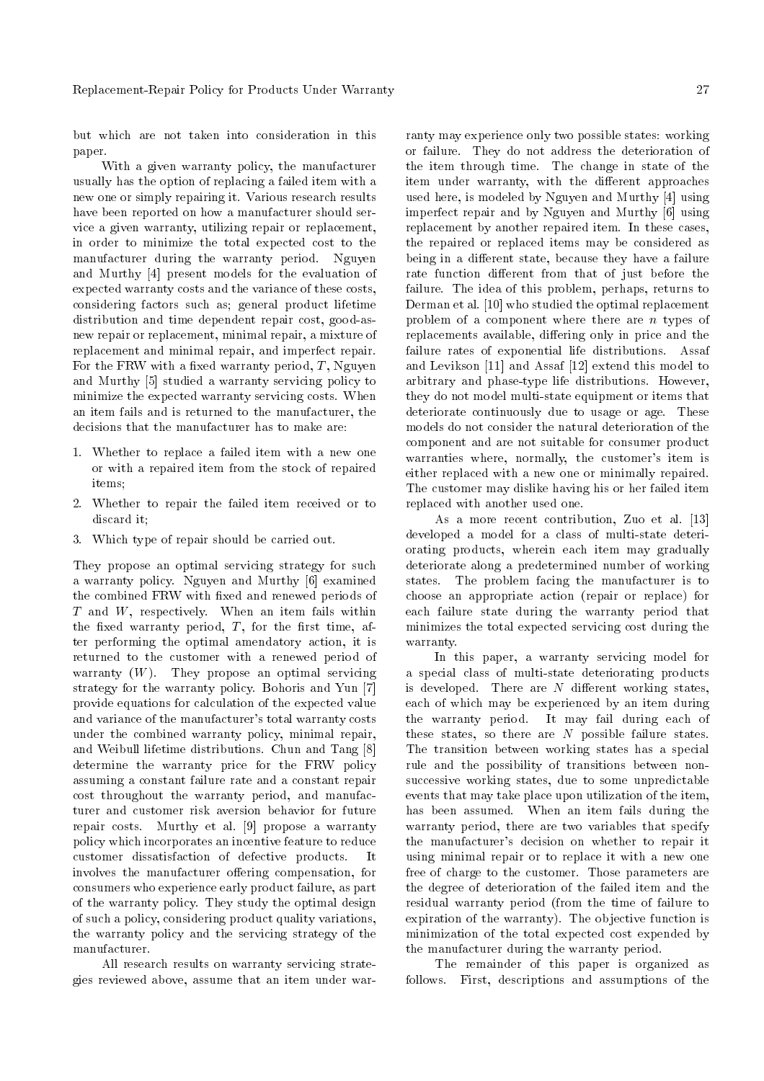but which are not taken into consideration in this paper.

With a given warranty policy, the manufacturer usually has the option of replacing a failed item with a new one or simply repairing it. Various research results have been reported on how a manufacturer should service a given warranty, utilizing repair or replacement, in order to minimize the total expected cost to the manufacturer during the warranty period. Nguyen and Murthy [4] present models for the evaluation of expected warranty costs and the variance of these costs, considering factors such as; general product lifetime distribution and time dependent repair cost, good-asnew repair or replacement, minimal repair, a mixture of replacement and minimal repair, and imperfect repair. For the FRW with a fixed warranty period,  $T$ , Nguyen and Murthy [5] studied a warranty servicing policy to minimize the expected warranty servicing costs. When an item fails and is returned to the manufacturer, the decisions that the manufacturer has to make are:

- 1. Whether to replace a failed item with a new one or with a repaired item from the stock of repaired items;
- 2. Whether to repair the failed item received or to discard it;
- 3. Which type of repair should be carried out.

They propose an optimal servicing strategy for such a warranty policy. Nguyen and Murthy [6] examined the combined FRW with fixed and renewed periods of  $T$  and  $W$ , respectively. When an item fails within the fixed warranty period,  $T$ , for the first time, after performing the optimal amendatory action, it is returned to the customer with a renewed period of warranty  $(W)$ . They propose an optimal servicing strategy for the warranty policy. Bohoris and Yun [7] provide equations for calculation of the expected value and variance of the manufacturer's total warranty costs under the combined warranty policy, minimal repair, and Weibull lifetime distributions. Chun and Tang [8] determine the warranty price for the FRW policy assuming a constant failure rate and a constant repair cost throughout the warranty period, and manufacturer and customer risk aversion behavior for future repair costs. Murthy et al. [9] propose a warranty policy which incorporates an incentive feature to reduce customer dissatisfaction of defective products. It involves the manufacturer offering compensation, for consumers who experience early product failure, as part of the warranty policy. They study the optimal design of such a policy, considering product quality variations, the warranty policy and the servicing strategy of the manufacturer.

All research results on warranty servicing strategies reviewed above, assume that an item under warranty may experience only two possible states: working or failure. They do not address the deterioration of the item through time. The change in state of the item under warranty, with the different approaches used here, is modeled by Nguyen and Murthy [4] using imperfect repair and by Nguyen and Murthy [6] using replacement by another repaired item. In these cases, the repaired or replaced items may be considered as being in a different state, because they have a failure rate function different from that of just before the failure. The idea of this problem, perhaps, returns to Derman et al. [10] who studied the optimal replacement problem of a component where there are  $n$  types of replacements available, differing only in price and the failure rates of exponential life distributions. Assaf and Levikson [11] and Assaf [12] extend this model to arbitrary and phase-type life distributions. However, they do not model multi-state equipment or items that deteriorate continuously due to usage or age. These models do not consider the natural deterioration of the component and are not suitable for consumer product warranties where, normally, the customer's item is either replaced with a new one or minimally repaired. The customer may dislike having his or her failed item replaced with another used one.

As a more recent contribution, Zuo et al. [13] developed a model for a class of multi-state deteriorating products, wherein each item may gradually deteriorate along a predetermined number of working states. The problem facing the manufacturer is to choose an appropriate action (repair or replace) for each failure state during the warranty period that minimizes the total expected servicing cost during the warranty.

In this paper, a warranty servicing model for a special class of multi-state deteriorating products is developed. There are  $N$  different working states, each of which may be experienced by an item during the warranty period. It may fail during each of these states, so there are  $N$  possible failure states. The transition between working states has a special rule and the possibility of transitions between nonsuccessive working states, due to some unpredictable events that may take place upon utilization of the item, has been assumed. When an item fails during the warranty period, there are two variables that specify the manufacturer's decision on whether to repair it using minimal repair or to replace it with a new one free of charge to the customer. Those parameters are the degree of deterioration of the failed item and the residual warranty period (from the time of failure to expiration of the warranty). The objective function is minimization of the total expected cost expended by the manufacturer during the warranty period.

The remainder of this paper is organized as follows. First, descriptions and assumptions of the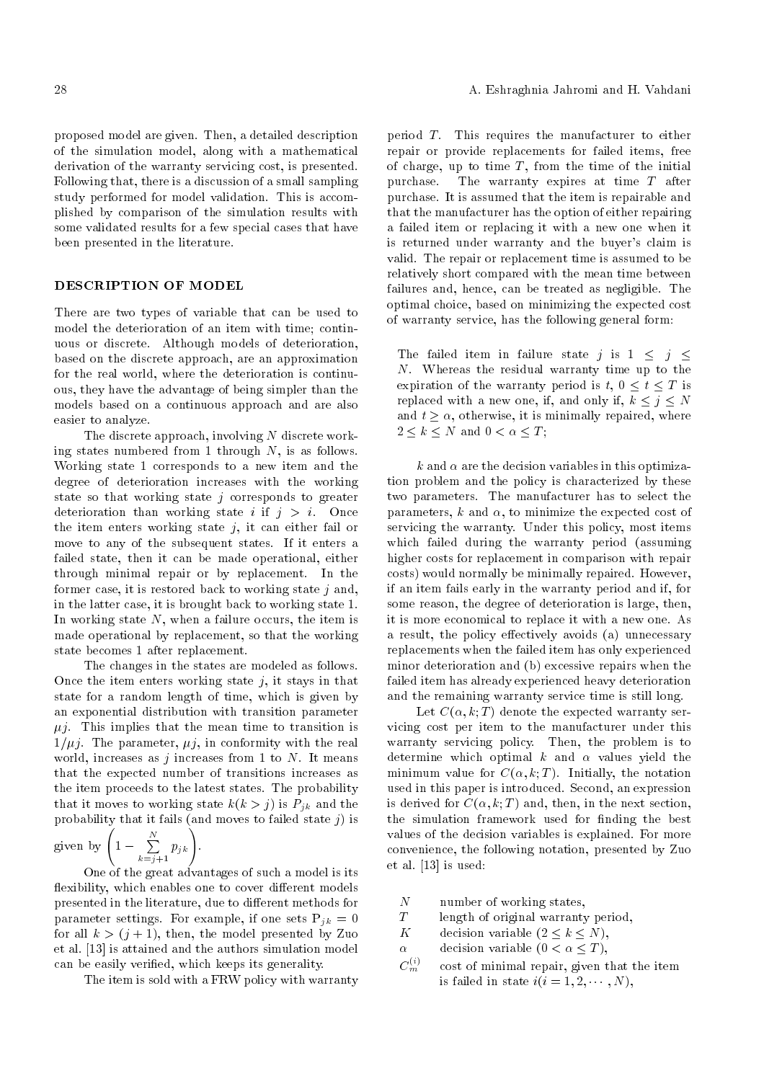proposed model are given. Then, a detailed description of the simulation model, along with a mathematical derivation of the warranty servicing cost, is presented. Following that, there is a discussion of a small sampling study performed for model validation. This is accomplished by comparison of the simulation results with some validated results for a few special cases that have been presented in the literature.

## DESCRIPTION OF MODEL

There are two types of variable that can be used to model the deterioration of an item with time; continuous or discrete. Although models of deterioration, based on the discrete approach, are an approximation for the real world, where the deterioration is continuous, they have the advantage of being simpler than the models based on a continuous approach and are also easier to analyze.

The discrete approach, involving  $N$  discrete working states numbered from 1 through  $N$ , is as follows. Working state 1 corresponds to a new item and the degree of deterioration increases with the working state so that working state  $j$  corresponds to greater deterioration than working state i if  $j > i$ . Once the item enters working state  $j$ , it can either fail or move to any of the subsequent states. If it enters a failed state, then it can be made operational, either through minimal repair or by replacement. In the former case, it is restored back to working state  $j$  and, in the latter case, it is brought back to working state 1. In working state  $N$ , when a failure occurs, the item is made operational by replacement, so that the working state becomes 1 after replacement.

The changes in the states are modeled as follows. Once the item enters working state  $j$ , it stays in that state for a random length of time, which is given by an exponential distribution with transition parameter  $\mu$ *j*. This implies that the mean time to transition is  $1/\mu j$ . The parameter,  $\mu j$ , in conformity with the real world, increases as  $j$  increases from 1 to  $N$ . It means that the expected number of transitions increases as the item proceeds to the latest states. The probability that it moves to working state  $k(k > j)$  is  $P_{jk}$  and the probability that it fails (and moves to failed state  $j$ ) is

given by 
$$
\left(1 - \sum_{k=j+1}^{N} p_{jk}\right)
$$
.

One of the great advantages of such a model is its flexibility, which enables one to cover different models presented in the literature, due to different methods for parameter settings. For example, if one sets  $P_{jk} = 0$ for all  $k > (j + 1)$ , then, the model presented by Zuo et al. [13] is attained and the authors simulation model can be easily veried, which keeps its generality.

The item is sold with a FRW policy with warranty

period T. This requires the manufacturer to either repair or provide replacements for failed items, free of charge, up to time  $T$ , from the time of the initial purchase. The warranty expires at time  $T$  after The warranty expires at time  $T$  after purchase. It is assumed that the item is repairable and that the manufacturer has the option of either repairing a failed item or replacing it with a new one when it is returned under warranty and the buyer's claim is valid. The repair or replacement time is assumed to be relatively short compared with the mean time between failures and, hence, can be treated as negligible. The optimal choice, based on minimizing the expected cost of warranty service, has the following general form:

The failed item in failure state j is  $1 \leq j \leq$ N. Whereas the residual warranty time up to the expiration of the warranty period is  $t, 0 \le t \le T$  is replaced with a new one, if, and only if,  $k \leq j \leq N$ and  $t \geq \alpha$ , otherwise, it is minimally repaired, where  $2 \leq k \leq N$  and  $0 \leq \alpha \leq T$ ;

k and  $\alpha$  are the decision variables in this optimization problem and the policy is characterized by these two parameters. The manufacturer has to select the parameters, k and  $\alpha$ , to minimize the expected cost of servicing the warranty. Under this policy, most items which failed during the warranty period (assuming higher costs for replacement in comparison with repair costs) would normally be minimally repaired. However, if an item fails early in the warranty period and if, for some reason, the degree of deterioration is large, then, it is more economical to replace it with a new one. As a result, the policy effectively avoids (a) unnecessary replacements when the failed item has only experienced minor deterioration and (b) excessive repairs when the failed item has already experienced heavy deterioration and the remaining warranty service time is still long.

Let  $C(\alpha, k; T)$  denote the expected warranty servicing cost per item to the manufacturer under this warranty servicing policy. Then, the problem is to determine which optimal  $k$  and  $\alpha$  values yield the minimum value for  $C(\alpha, k; T)$ . Initially, the notation used in this paper is introduced. Second, an expression is derived for  $C(\alpha, k; T)$  and, then, in the next section, the simulation framework used for finding the best values of the decision variables is explained. For more convenience, the following notation, presented by Zuo et al. [13] is used:

- $N$  number of working states,<br> $T$  length of original warranty
- T length of original warranty period,<br>  $K$  decision variable  $(2 \leq k \leq N)$ .
- decision variable  $(2 \leq k \leq N)$ ,
- $\alpha$  decision variable  $(0 < \alpha < T)$ ,
- $C_m^{(i)}$ cost of minimal repair, given that the item is failed in state  $i(i = 1, 2, \dots, N)$ ,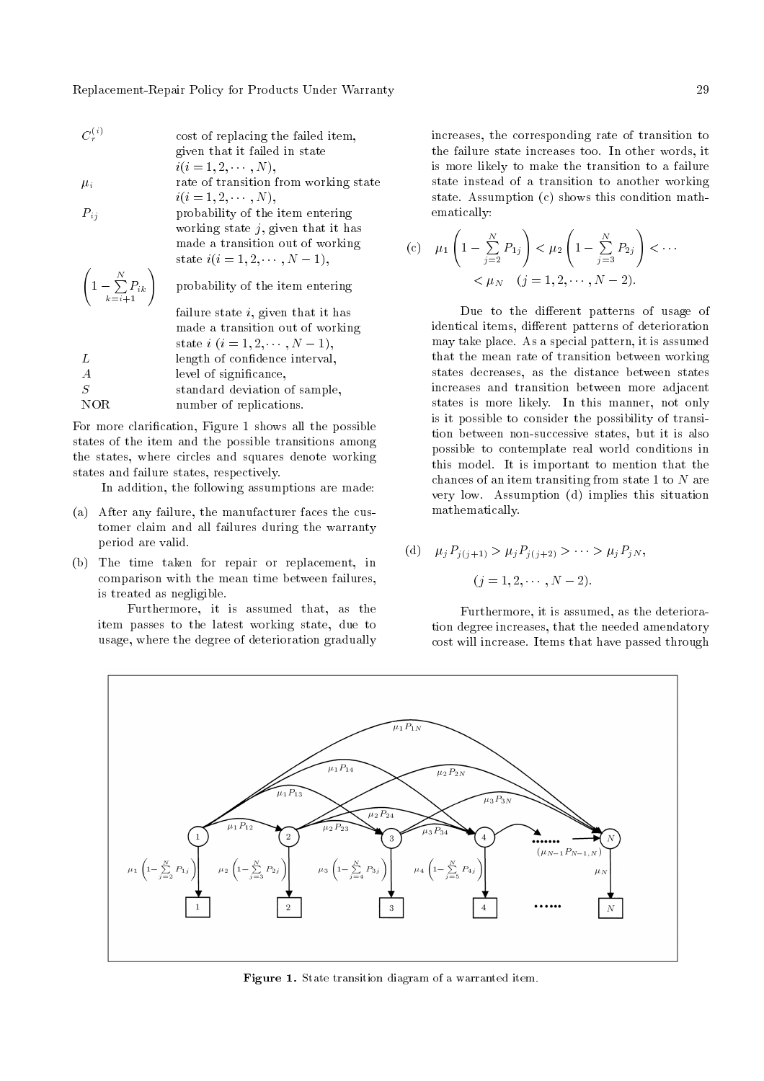Replacement-Repair Policy for Products Under Warranty 29

- $C_r^{( \, i)}$ cost of replacing the failed item, given that it failed in state  $i(i = 1, 2, \cdots, N),$
- $\mu_i$  rate of transition from working state  $i(i = 1, 2, \cdots, N),$
- $P_{ij}$  probability of the item entering working state  $j$ , given that it has made a transition out of working state  $i(i = 1, 2, \dots, N - 1)$ ,

$$
\begin{pmatrix}\n1 - \sum_{k=i+1}^{N} P_{ik}\n\end{pmatrix}
$$
 probability of the item entering failure state *i*, given that it has made a transition out of working state *i* (*i* = 1, 2, · · · , *N* - 1),  
\n*L* length of confidence interval,  
\n*A* level of significance,  
\n*S* standard deviation of sample,  
\nNOR number of replications.

For more clarication, Figure 1 shows all the possible states of the item and the possible transitions among the states, where circles and squares denote working states and failure states, respectively.

In addition, the following assumptions are made:

- (a) After any failure, the manufacturer faces the customer claim and all failures during the warranty period are valid.
- (b) The time taken for repair or replacement, in comparison with the mean time between failures, is treated as negligible.

Furthermore, it is assumed that, as the item passes to the latest working state, due to usage, where the degree of deterioration gradually increases, the corresponding rate of transition to the failure state increases too. In other words, it is more likely to make the transition to a failure state instead of a transition to another working state. Assumption (c) shows this condition mathematically:

(c) 
$$
\mu_1 \left( 1 - \sum_{j=2}^N P_{1j} \right) < \mu_2 \left( 1 - \sum_{j=3}^N P_{2j} \right) < \cdots
$$
  
 $< \mu_N \quad (j = 1, 2, \cdots, N-2).$ 

Due to the different patterns of usage of identical items, different patterns of deterioration may take place. As a special pattern, it is assumed that the mean rate of transition between working states decreases, as the distance between states increases and transition between more adjacent states is more likely. In this manner, not only is it possible to consider the possibility of transition between non-successive states, but it is also possible to contemplate real world conditions in this model. It is important to mention that the chances of an item transiting from state 1 to N are very low. Assumption (d) implies this situation mathematically.

(d) 
$$
\mu_j P_{j(j+1)} > \mu_j P_{j(j+2)} > \cdots > \mu_j P_{jN}
$$
,

 $(j = 1, 2, \cdots, N - 2).$ 

Furthermore, it is assumed, as the deterioration degree increases, that the needed amendatory cost will increase. Items that have passed through



Figure 1. State transition diagram of a warranted item.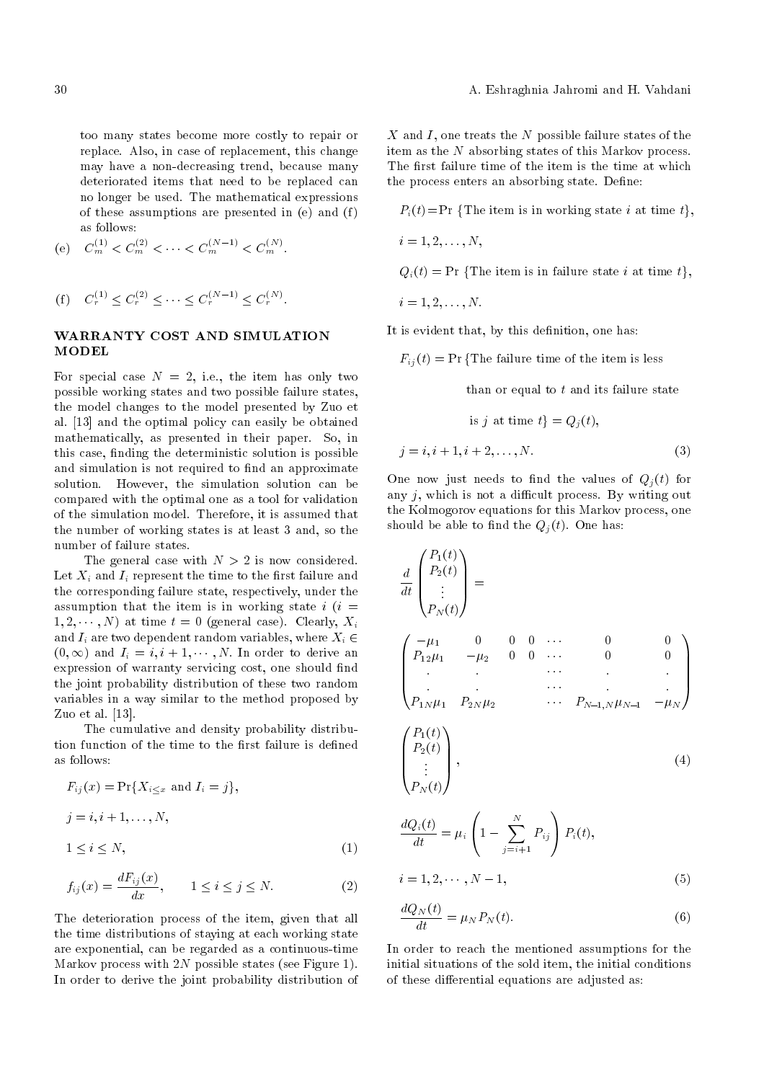too many states become more costly to repair or replace. Also, in case of replacement, this change may have a non-decreasing trend, because many deteriorated items that need to be replaced can no longer be used. The mathematical expressions of these assumptions are presented in (e) and (f) as follows:

(e) 
$$
C_m^{(1)} < C_m^{(2)} < \cdots < C_m^{(N-1)} < C_m^{(N)}
$$
.

(f) 
$$
C_r^{(1)} \leq C_r^{(2)} \leq \cdots \leq C_r^{(N-1)} \leq C_r^{(N)}
$$
.

## WARRANTY COST AND SIMULATION MODEL

For special case  $N = 2$ , i.e., the item has only two possible working states and two possible failure states, the model changes to the model presented by Zuo et al. [13] and the optimal policy can easily be obtained mathematically, as presented in their paper. So, in this case, nding the deterministic solution is possible and simulation is not required to find an approximate solution. However, the simulation solution can be compared with the optimal one as a tool for validation of the simulation model. Therefore, it is assumed that the number of working states is at least 3 and, so the number of failure states.

The general case with  $N > 2$  is now considered. Let  $X_i$  and  $I_i$  represent the time to the first failure and the corresponding failure state, respectively, under the assumption that the item is in working state  $i(i =$  $1, 2, \dots, N$  at time  $t = 0$  (general case). Clearly,  $X_i$ and  $I_i$  are two dependent random variables, where  $X_i \in$  $(0, \infty)$  and  $I_i = i, i + 1, \cdots, N$ . In order to derive an expression of warranty servicing cost, one should find the joint probability distribution of these two random variables in a way similar to the method proposed by Zuo et al. [13].

The cumulative and density probability distribution function of the time to the first failure is defined as follows:

$$
F_{ij}(x) = \Pr\{X_{i \le x} \text{ and } I_i = j\},
$$
  
\n
$$
j = i, i + 1, ..., N,
$$
  
\n
$$
1 \le i \le N,
$$
 (1)

$$
f_{ij}(x) = \frac{dF_{ij}(x)}{dx}, \qquad 1 \le i \le j \le N. \tag{2}
$$

The deterioration process of the item, given that all the time distributions of staying at each working state are exponential, can be regarded as a continuous-time Markov process with  $2N$  possible states (see Figure 1). In order to derive the joint probability distribution of  $X$  and  $I$ , one treats the  $N$  possible failure states of the item as the N absorbing states of this Markov process. The first failure time of the item is the time at which the process enters an absorbing state. Define:

$$
P_i(t)
$$
 = Pr {The item is in working state *i* at time *t*},

$$
i=1,2,\ldots,N,
$$

 $Q_i(t) = \Pr \{ \text{The item is in failure state } i \text{ at time } t \},$ 

$$
i=1,2,\ldots,N.
$$

It is evident that, by this definition, one has:

 $F_{ii}(t) = Pr \{The failure time of the item is less$ 

than or equal to  $t$  and its failure state

is 
$$
j
$$
 at time  $t$ } =  $Q_j(t)$ ,  

$$
j = i, i + 1, i + 2, ..., N.
$$
 (3)

One now just needs to find the values of  $Q_i(t)$  for any  $j$ , which is not a difficult process. By writing out the Kolmogorov equations for this Markov process, one should be able to find the  $Q_j(t)$ . One has:

$$
\frac{d}{dt} \begin{pmatrix} P_1(t) \\ P_2(t) \\ \vdots \\ P_N(t) \end{pmatrix} = \begin{pmatrix} -\mu_1 & 0 & 0 & 0 & \cdots & 0 & 0 \\ P_{12}\mu_1 & -\mu_2 & 0 & 0 & \cdots & 0 & 0 \\ \vdots & \vdots & \ddots & \vdots & \ddots & \vdots \\ P_{1N}\mu_1 & P_{2N}\mu_2 & \cdots & P_{N-1,N}\mu_{N-1} & -\mu_N \end{pmatrix}
$$
\n
$$
\begin{pmatrix} P_1(t) \\ P_2(t) \\ \vdots \\ P_N(t) \end{pmatrix}, \qquad (4)
$$

$$
\frac{dQ_i(t)}{dt} = \mu_i \left( 1 - \sum_{j=i+1}^N P_{ij} \right) P_i(t),
$$
  
  $i = 1, 2, \dots, N - 1,$  (5)

$$
\frac{dQ_N(t)}{dt} = \mu_N P_N(t). \tag{6}
$$

In order to reach the mentioned assumptions for the initial situations of the sold item, the initial conditions of these differential equations are adjusted as: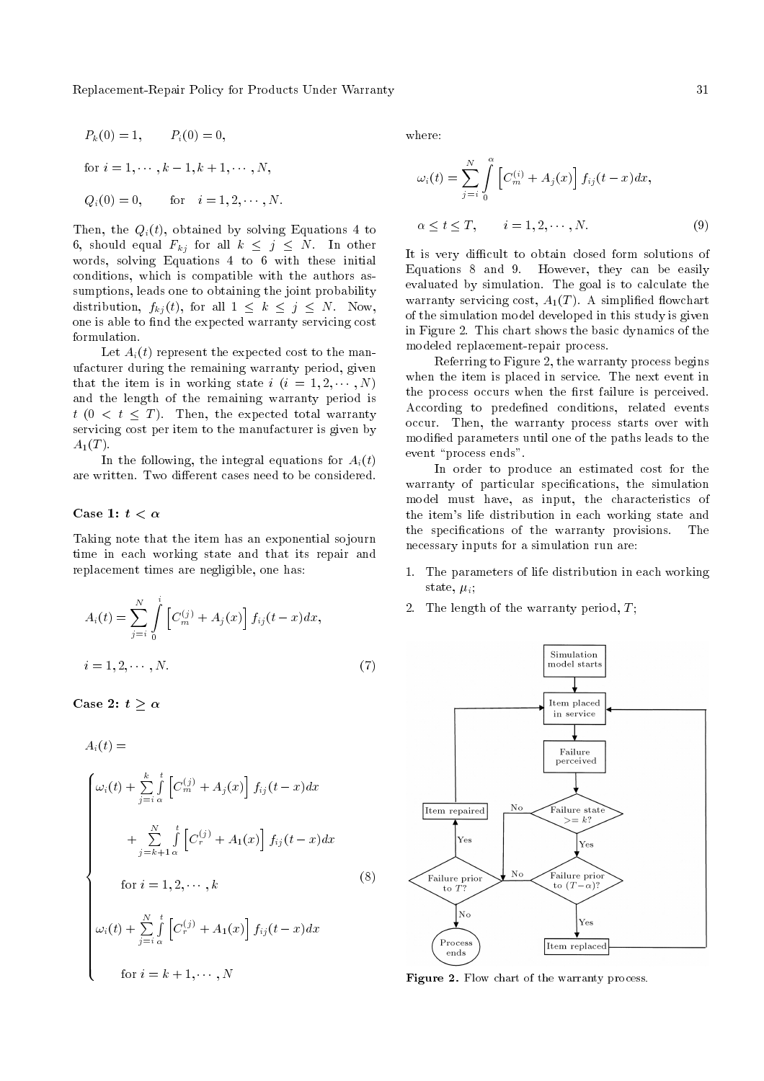Replacement-Repair Policy for Products Under Warranty 31

$$
P_k(0) = 1,
$$
  $P_i(0) = 0,$   
for  $i = 1, \dots, k - 1, k + 1, \dots, N,$   
 $Q_i(0) = 0,$  for  $i = 1, 2, \dots, N.$ 

Then, the  $Q_i(t)$ , obtained by solving Equations 4 to 6, should equal  $F_{kj}$  for all  $k \leq j \leq N$ . In other words, solving Equations 4 to 6 with these initial conditions, which is compatible with the authors assumptions, leads one to obtaining the joint probability distribution,  $f_{kj}(t)$ , for all  $1 \leq k \leq j \leq N$ . Now, one is able to find the expected warranty servicing cost formulation.

Let  $A_i(t)$  represent the expected cost to the manufacturer during the remaining warranty period, given that the item is in working state  $i$   $(i = 1, 2, \cdots, N)$ and the length of the remaining warranty period is  $t$  (0 <  $t \leq T$ ). Then, the expected total warranty servicing cost per item to the manufacturer is given by  $A_1(T)$ .

In the following, the integral equations for  $A_i(t)$ are written. Two different cases need to be considered.

#### Case 1:  $t < \alpha$

Taking note that the item has an exponential sojourn time in each working state and that its repair and replacement times are negligible, one has:

$$
A_i(t) = \sum_{j=i}^{N} \int_{0}^{i} \left[ C_m^{(j)} + A_j(x) \right] f_{ij}(t - x) dx,
$$
  
\n
$$
i = 1, 2, \cdots, N.
$$
 (7)

Case 2:  $t \geq \alpha$ 

$$
A_i(t) =
$$
\n
$$
\begin{cases}\n\omega_i(t) + \sum_{j=i}^{k} \int_{\alpha}^{t} \left[ C_m^{(j)} + A_j(x) \right] f_{ij}(t - x) dx \\
+ \sum_{j=k+1}^{N} \int_{\alpha}^{t} \left[ C_r^{(j)} + A_1(x) \right] f_{ij}(t - x) dx \\
\text{for } i = 1, 2, \dots, k \\
\omega_i(t) + \sum_{j=i}^{N} \int_{\alpha}^{t} \left[ C_r^{(j)} + A_1(x) \right] f_{ij}(t - x) dx \\
\text{for } i = k+1, \dots, N\n\end{cases}
$$
\n(8)

where:

$$
\omega_i(t) = \sum_{j=i}^N \int_0^\alpha \left[ C_m^{(i)} + A_j(x) \right] f_{ij}(t-x) dx,
$$
  

$$
\alpha \le t \le T, \qquad i = 1, 2, \cdots, N.
$$
 (9)

It is very difficult to obtain closed form solutions of Equations 8 and 9. However, they can be easily evaluated by simulation. The goal is to calculate the warranty servicing cost,  $A_1(T)$ . A simplified flowchart of the simulation model developed in this study is given in Figure 2. This chart shows the basic dynamics of the modeled replacement-repair process.

Referring to Figure 2, the warranty process begins when the item is placed in service. The next event in the process occurs when the first failure is perceived. According to predefined conditions, related events occur. Then, the warranty process starts over with modied parameters until one of the paths leads to the event "process ends".

In order to produce an estimated cost for the warranty of particular specifications, the simulation model must have, as input, the characteristics of the item's life distribution in each working state and the specications of the warranty provisions. The necessary inputs for a simulation run are:

- 1. The parameters of life distribution in each working state,  $\mu_i$ ;
- 2. The length of the warranty period,  $T$ ;



Figure 2. Flow chart of the warranty process.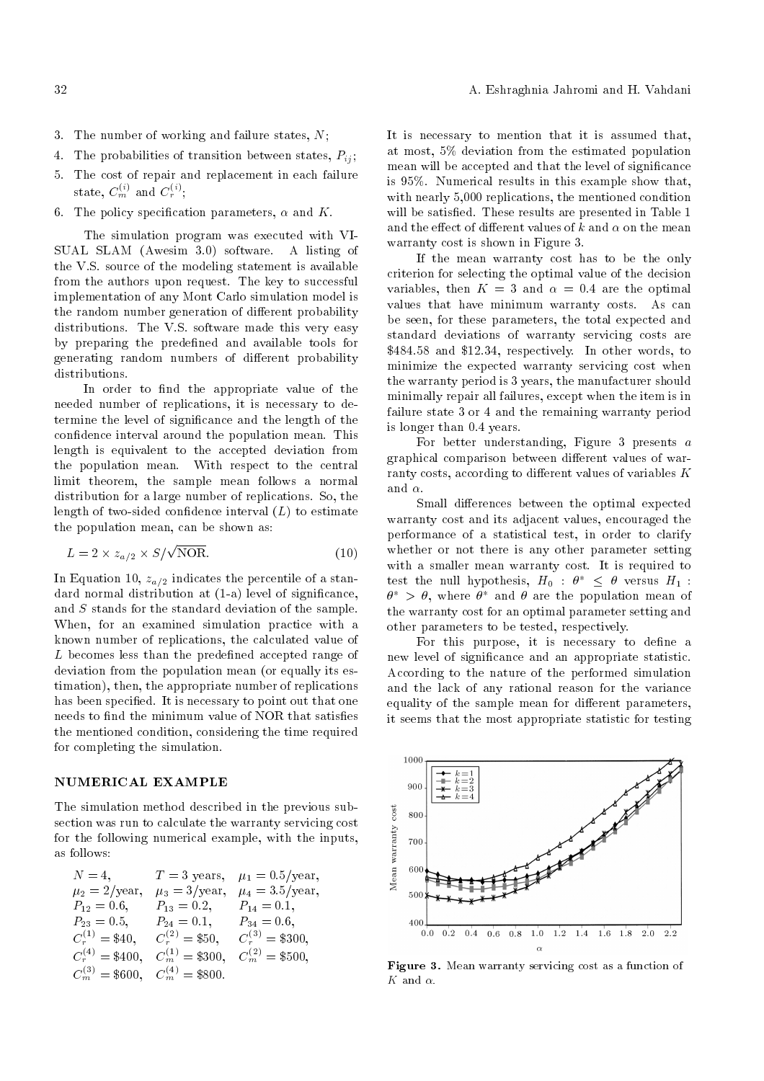- 3. The number of working and failure states, N;
- 4. The probabilities of transition between states,  $P_{ij}$ ;
- 5. The cost of repair and replacement in each failure state,  $C_m^{(i)}$  and  $C_r^{(i)}$ ;
- 6. The policy specification parameters,  $\alpha$  and K.

The simulation program was executed with VI-SUAL SLAM (Awesim 3.0) software. A listing of the V.S. source of the modeling statement is available from the authors upon request. The key to successful implementation of any Mont Carlo simulation model is the random number generation of different probability distributions. The V.S. software made this very easy by preparing the predened and available tools for generating random numbers of different probability distributions.

In order to find the appropriate value of the needed number of replications, it is necessary to determine the level of signicance and the length of the confidence interval around the population mean. This length is equivalent to the accepted deviation from the population mean. With respect to the central limit theorem, the sample mean follows a normal distribution for a large number of replications. So, the length of two-sided confidence interval  $(L)$  to estimate the population mean, can be shown as:

$$
L = 2 \times z_{a/2} \times S/\sqrt{\text{NOR}}.\tag{10}
$$

In Equation 10,  $z_{a/2}$  indicates the percentile of a standard normal distribution at (1-a) level of signicance, and S stands for the standard deviation of the sample. When, for an examined simulation practice with a known number of replications, the calculated value of L becomes less than the predefined accepted range of deviation from the population mean (or equally its estimation), then, the appropriate number of replications has been specified. It is necessary to point out that one needs to find the minimum value of NOR that satisfies the mentioned condition, considering the time required for completing the simulation.

## NUMERICAL EXAMPLE

The simulation method described in the previous subsection was run to calculate the warranty servicing cost for the following numerical example, with the inputs, as follows:

| $N=4$ ,                                     |                          | $T = 3$ years, $\mu_1 = 0.5$ /year, |
|---------------------------------------------|--------------------------|-------------------------------------|
| $\mu_2 = 2/\text{year},$                    | $\mu_3 = 3/\text{year},$ | $\mu_4 = 3.5/\text{year},$          |
| $P_{12}=0.6,$                               | $P_{13} = 0.2$ ,         | $P_{14} = 0.1,$                     |
| $P_{23} = 0.5,$                             | $P_{24} = 0.1,$          | $P_{34} = 0.6,$                     |
| $C_r^{(1)}$ = \$40.                         | $C_r^{(2)} = $50.$       | $C_r^{(3)} = $300.$                 |
| $C_r^{(4)} = $400.$                         | $C_m^{(1)} = $300,$      | $C_m^{(2)} = $500.$                 |
| $C_m^{(3)} = $600, \quad C_m^{(4)} = $800.$ |                          |                                     |

It is necessary to mention that it is assumed that, at most, 5% deviation from the estimated population mean will be accepted and that the level of signicance is 95%. Numerical results in this example show that, with nearly 5,000 replications, the mentioned condition will be satisfied. These results are presented in Table 1 and the effect of different values of k and  $\alpha$  on the mean warranty cost is shown in Figure 3.

If the mean warranty cost has to be the only criterion for selecting the optimal value of the decision variables, then  $K = 3$  and  $\alpha = 0.4$  are the optimal values that have minimum warranty costs. As can be seen, for these parameters, the total expected and standard deviations of warranty servicing costs are \$484.58 and \$12.34, respectively. In other words, to minimize the expected warranty servicing cost when the warranty period is 3 years, the manufacturer should minimally repair all failures, except when the item is in failure state 3 or 4 and the remaining warranty period is longer than 0.4 years.

For better understanding, Figure 3 presents  $a$ graphical comparison between different values of warranty costs, according to different values of variables  $K$ and  $\alpha$ .

Small differences between the optimal expected warranty cost and its adjacent values, encouraged the performance of a statistical test, in order to clarify whether or not there is any other parameter setting with a smaller mean warranty cost. It is required to test the null hypothesis,  $H_0$  :  $\theta^* \leq \theta$  versus  $H_1$  :  $\theta^*$  >  $\theta$ , where  $\theta^*$  and  $\theta$  are the population mean of the warranty cost for an optimal parameter setting and other parameters to be tested, respectively.

For this purpose, it is necessary to define a new level of signicance and an appropriate statistic. According to the nature of the performed simulation and the lack of any rational reason for the variance equality of the sample mean for different parameters, it seems that the most appropriate statistic for testing



Figure 3. Mean warranty servicing cost as a function of  $K$  and  $\alpha$ .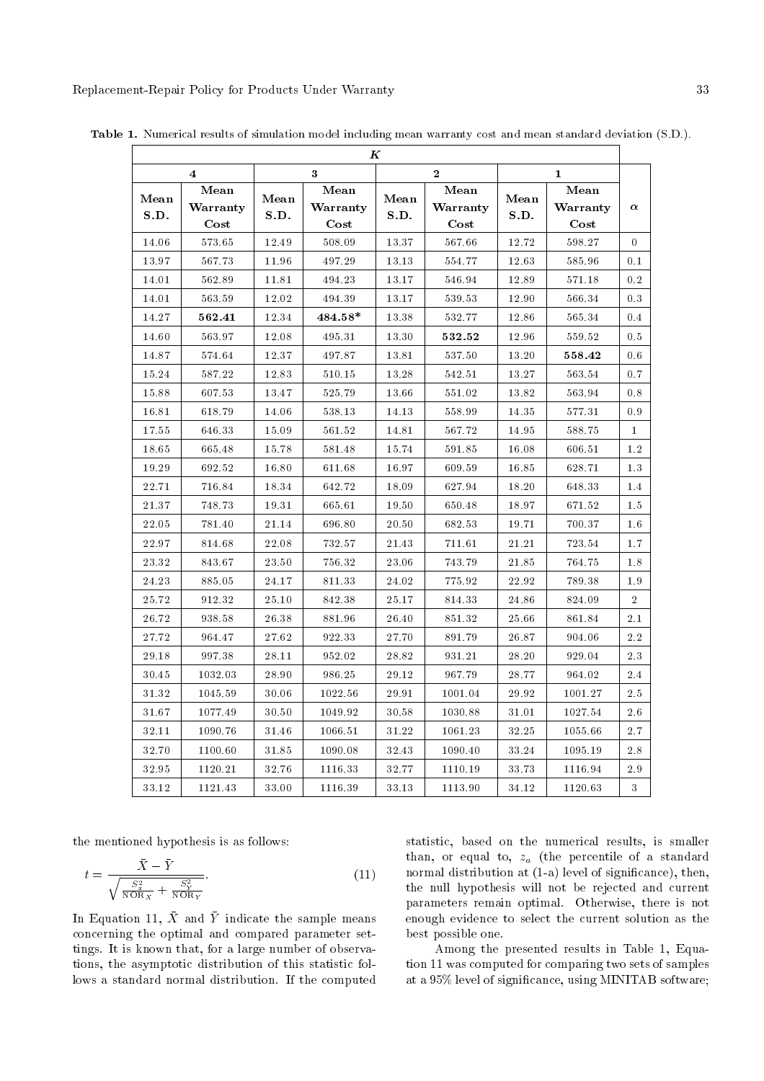$\overline{1}$ 

|                         |                              |               |                              | K              |                              |              |                              |                |
|-------------------------|------------------------------|---------------|------------------------------|----------------|------------------------------|--------------|------------------------------|----------------|
| $\overline{\mathbf{4}}$ |                              | 3<br>$\bf{2}$ |                              | $\mathbf{1}$   |                              |              |                              |                |
| Mean<br>S.D.            | Mean<br>Warranty<br>$\cos t$ | Mean<br>S.D.  | Mean<br>Warranty<br>$\cos t$ | $Mean$<br>S.D. | Mean<br>Warranty<br>$\cos t$ | Mean<br>S.D. | Mean<br>Warranty<br>$\cos t$ | $\alpha$       |
| 14.06                   | 573.65                       | 12.49         | 508.09                       | 13.37          | 567.66                       | 12.72        | 598.27                       | $\Omega$       |
| 13.97                   | 567.73                       | 11.96         | 497.29                       | 13.13          | 554.77                       | 12.63        | 585.96                       | 0.1            |
| 14.01                   | 562.89                       | 11.81         | 494.23                       | 13.17          | 546.94                       | 12.89        | 571.18                       | 0.2            |
| 14.01                   | 563.59                       | $12.02\,$     | 494.39                       | 13.17          | 539.53                       | 12.90        | 566.34                       | 0.3            |
| 14.27                   | 562.41                       | 12.34         | $484.58*$                    | 13.38          | 532.77                       | 12.86        | 565.34                       | 0.4            |
| 14.60                   | 563.97                       | 12.08         | 495.31                       | 13.30          | 532.52                       | 12.96        | 559.52                       | 0.5            |
| 14.87                   | 574.64                       | 12.37         | 497.87                       | 13.81          | 537.50                       | 13.20        | 558.42                       | 0.6            |
| 15.24                   | 587.22                       | 12.83         | 510.15                       | 13.28          | 542.51                       | 13.27        | 563.54                       | 0.7            |
| 15.88                   | 607.53                       | 13.47         | 525.79                       | 13.66          | 551.02                       | 13.82        | 563.94                       | 0.8            |
| 16.81                   | 618.79                       | 14.06         | 538.13                       | 14.13          | 558.99                       | 14.35        | 577.31                       | 0.9            |
| 17.55                   | 646.33                       | 15.09         | 561.52                       | 14.81          | 567.72                       | 14.95        | 588.75                       | 1              |
| 18.65                   | 665.48                       | 15.78         | $581.48\,$                   | 15.74          | 591.85                       | 16.08        | 606.51                       | 1.2            |
| 19.29                   | 692.52                       | 16.80         | 611.68                       | 16.97          | 609.59                       | 16.85        | 628.71                       | 1.3            |
| $22.71\,$               | 716.84                       | 18.34         | 642.72                       | 18.09          | 627.94                       | 18.20        | 648.33                       | 1.4            |
| 21.37                   | 748.73                       | $19.31\,$     | 665.61                       | 19.50          | 650.48                       | 18.97        | 671.52                       | 1.5            |
| 22.05                   | 781.40                       | 21.14         | 696.80                       | 20.50          | 682.53                       | 19.71        | 700.37                       | $1.6\,$        |
| 22.97                   | 814.68                       | 22.08         | 732.57                       | $21.43\,$      | 711.61                       | 21.21        | 723.54                       | 1.7            |
| 23.32                   | 843.67                       | $23.50\,$     | 756.32                       | 23.06          | 743.79                       | 21.85        | 764.75                       | 1.8            |
| 24.23                   | 885.05                       | $24.17\,$     | 811.33                       | 24.02          | 775.92                       | 22.92        | 789.38                       | 1.9            |
| 25.72                   | 912.32                       | 25.10         | 842.38                       | 25.17          | 814.33                       | 24.86        | 824.09                       | $\overline{2}$ |
| 26.72                   | 938.58                       | 26.38         | 881.96                       | $26.40\,$      | $851.32\,$                   | 25.66        | 861.84                       | 2.1            |
| 27.72                   | 964.47                       | 27.62         | 922.33                       | 27.70          | 891.79                       | 26.87        | 904.06                       | 2.2            |
| 29.18                   | 997.38                       | 28.11         | 952.02                       | 28.82          | 931.21                       | 28.20        | 929.04                       | 2.3            |
| 30.45                   | 1032.03                      | 28.90         | 986.25                       | 29.12          | 967.79                       | 28.77        | $964.02\,$                   | 2.4            |
| $31.32\,$               | 1045.59                      | 30.06         | 1022.56                      | 29.91          | 1001.04                      | 29.92        | 1001.27                      | 2.5            |
| 31.67                   | 1077.49                      | 30.50         | 1049.92                      | 30.58          | 1030.88                      | 31.01        | 1027.54                      | 26             |
| 32.11                   | 1090.76                      | 31.46         | 1066.51                      | 31.22          | 1061.23                      | 32.25        | 1055.66                      | $2.7\,$        |
| 32.70                   | 1100.60                      | $31.85\,$     | 1090.08                      | $32.43\,$      | 1090.40                      | 33.24        | 1095.19                      | 2.8            |
| $32.95\,$               | 1120.21                      | 32.76         | 1116.33                      | 32.77          | 1110.19                      | 33.73        | 1116.94                      | 29             |
| 33.12                   | 1121.43                      | 33.00         | 1116.39                      | 33.13          | 1113.90                      | 34.12        | 1120.63                      | 3              |

Table 1. Numerical results of simulation model including mean warranty cost and mean standard deviation (S.D.).

the mentioned hypothesis is as follows:

$$
t = \frac{\bar{X} - \bar{Y}}{\sqrt{\frac{S_x^2}{N \text{OR}_X} + \frac{S_Y^2}{N \text{OR}_Y}}}.\tag{11}
$$

In Equation 11,  $\bar{X}$  and  $\bar{Y}$  indicate the sample means concerning the optimal and compared parameter settings. It is known that, for a large number of observations, the asymptotic distribution of this statistic follows a standard normal distribution. If the computed statistic, based on the numerical results, is smaller than, or equal to,  $z_a$  (the percentile of a standard normal distribution at (1-a) level of signicance), then, the null hypothesis will not be rejected and current parameters remain optimal. Otherwise, there is not enough evidence to select the current solution as the best possible one.

Among the presented results in Table 1, Equation 11 was computed for comparing two sets of samples at a 95% level of signicance, using MINITAB software;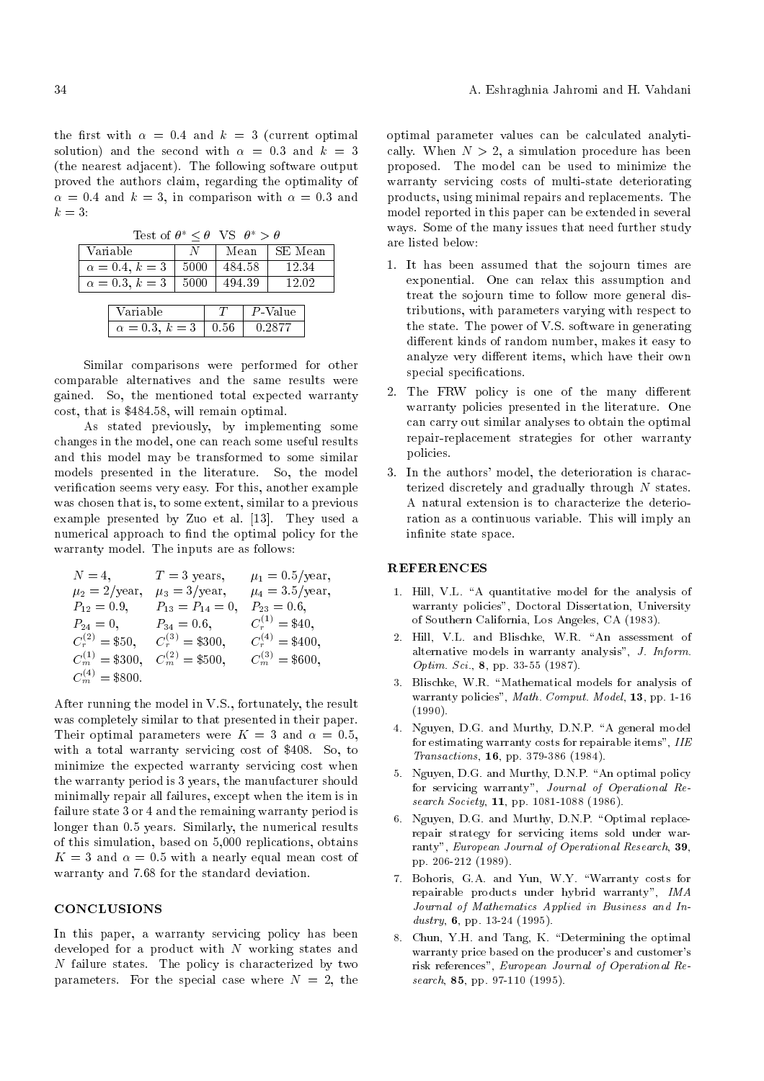the first with  $\alpha = 0.4$  and  $k = 3$  (current optimal) solution) and the second with  $\alpha = 0.3$  and  $k = 3$ (the nearest adjacent). The following software output proved the authors claim, regarding the optimality of  $\alpha = 0.4$  and  $k = 3$ , in comparison with  $\alpha = 0.3$  and  $k = 3$ :

Test of  $\theta^* \leq \theta$  VS  $\theta^* > \theta$ 

| $\sim$ $\sim$ $\sim$ $\sim$  |      |        |  |         |  |  |  |
|------------------------------|------|--------|--|---------|--|--|--|
| Variable                     | N    | Mean   |  | SE Mean |  |  |  |
| $\alpha = 0.4, k = 3$        | 5000 | 484.58 |  | 12.34   |  |  |  |
| $\alpha = 0.3, k = 3$        | 5000 | 494.39 |  | 12.02   |  |  |  |
| $P$ -Value<br>Variable<br>Т. |      |        |  |         |  |  |  |
|                              |      |        |  |         |  |  |  |

 $\alpha = 0.3, k = 3 \mid 0.56 \mid 0.2877$ 

Similar comparisons were performed for other comparable alternatives and the same results were gained. So, the mentioned total expected warranty cost, that is \$484.58, will remain optimal.

As stated previously, by implementing some changes in the model, one can reach some useful results and this model may be transformed to some similar models presented in the literature. So, the model verification seems very easy. For this, another example was chosen that is, to some extent, similar to a previous example presented by Zuo et al. [13]. They used a numerical approach to find the optimal policy for the warranty model. The inputs are as follows:

$$
N = 4, \t T = 3 \text{ years}, \t \mu_1 = 0.5/\text{year},
$$
  
\n
$$
\mu_2 = 2/\text{year}, \t \mu_3 = 3/\text{year}, \t \mu_4 = 3.5/\text{year},
$$
  
\n
$$
P_{12} = 0.9, \t P_{13} = P_{14} = 0, \t P_{23} = 0.6,
$$
  
\n
$$
P_{24} = 0, \t P_{34} = 0.6, \t C_r^{(1)} = $40,
$$
  
\n
$$
C_r^{(2)} = $50, \t C_s^{(3)} = $300, \t C_r^{(4)} = $400,
$$
  
\n
$$
C_m^{(1)} = $300, \t C_m^{(2)} = $500, \t C_m^{(3)} = $600,
$$
  
\n
$$
C_m^{(4)} = $800.
$$

After running the model in V.S., fortunately, the result was completely similar to that presented in their paper. Their optimal parameters were  $K = 3$  and  $\alpha = 0.5$ , with a total warranty servicing cost of \$408. So, to minimize the expected warranty servicing cost when the warranty period is 3 years, the manufacturer should minimally repair all failures, except when the item is in failure state 3 or 4 and the remaining warranty period is longer than 0.5 years. Similarly, the numerical results of this simulation, based on 5,000 replications, obtains  $K = 3$  and  $\alpha = 0.5$  with a nearly equal mean cost of warranty and 7.68 for the standard deviation.

## **CONCLUSIONS**

In this paper, a warranty servicing policy has been developed for a product with  $N$  working states and  $N$  failure states. The policy is characterized by two parameters. For the special case where  $N = 2$ , the optimal parameter values can be calculated analytically. When  $N > 2$ , a simulation procedure has been proposed. The model can be used to minimize the warranty servicing costs of multi-state deteriorating products, using minimal repairs and replacements. The model reported in this paper can be extended in several ways. Some of the many issues that need further study are listed below:

- 1. It has been assumed that the sojourn times are exponential. One can relax this assumption and treat the sojourn time to follow more general distributions, with parameters varying with respect to the state. The power of V.S. software in generating different kinds of random number, makes it easy to analyze very different items, which have their own special specifications.
- 2. The FRW policy is one of the many different warranty policies presented in the literature. One can carry out similar analyses to obtain the optimal repair-replacement strategies for other warranty policies.
- 3. In the authors' model, the deterioration is characterized discretely and gradually through N states. A natural extension is to characterize the deterioration as a continuous variable. This will imply an infinite state space.

### REFERENCES

- 1. Hill, V.L. "A quantitative model for the analysis of warranty policies", Doctoral Dissertation, University of Southern California, Los Angeles, CA (1983).
- 2. Hill, V.L. and Blischke, W.R. "An assessment of alternative models in warranty analysis", J. Inform. Optim. Sci., 8, pp. 33-55 (1987).
- 3. Blischke, W.R. "Mathematical models for analysis of warranty policies", Math. Comput. Model, 13, pp. 1-16 (1990).
- 4. Nguyen, D.G. and Murthy, D.N.P. "A general model for estimating warranty costs for repairable items",  $IIE$ Transactions, 16, pp. 379-386 (1984).
- 5. Nguyen, D.G. and Murthy, D.N.P. "An optimal policy for servicing warranty", Journal of Operational Research Society, 11, pp. 1081-1088 (1986).
- 6. Nguyen, D.G. and Murthy, D.N.P. "Optimal replacerepair strategy for servicing items sold under warranty", European Journal of Operational Research, 39, pp. 206-212 (1989).
- 7. Bohoris, G.A. and Yun, W.Y. \Warranty costs for repairable products under hybrid warranty", IMA Journal of Mathematics Applied in Business and Industry, 6, pp. 13-24 (1995).
- 8. Chun, Y.H. and Tang, K. "Determining the optimal warranty price based on the producer's and customer's risk references", European Journal of Operational Research, **85**, pp. 97-110 (1995).